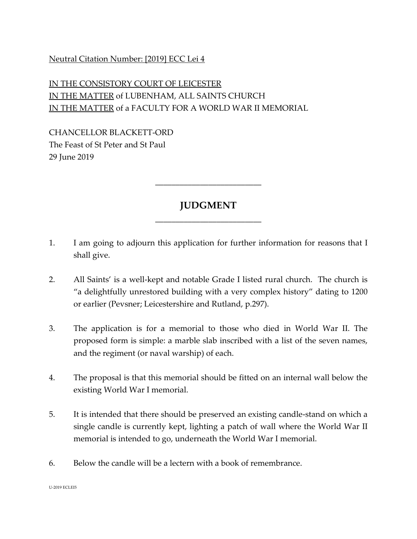## Neutral Citation Number: [2019] ECC Lei 4

## IN THE CONSISTORY COURT OF LEICESTER IN THE MATTER of LUBENHAM, ALL SAINTS CHURCH IN THE MATTER of a FACULTY FOR A WORLD WAR II MEMORIAL

CHANCELLOR BLACKETT-ORD The Feast of St Peter and St Paul 29 June 2019

## **JUDGMENT**

\_\_\_\_\_\_\_\_\_\_\_\_\_\_\_\_\_\_\_\_\_\_\_\_\_\_

\_\_\_\_\_\_\_\_\_\_\_\_\_\_\_\_\_\_\_\_\_\_\_\_\_\_

- 1. I am going to adjourn this application for further information for reasons that I shall give.
- 2. All Saints' is a well-kept and notable Grade I listed rural church. The church is "a delightfully unrestored building with a very complex history" dating to 1200 or earlier (Pevsner; Leicestershire and Rutland, p.297).
- 3. The application is for a memorial to those who died in World War II. The proposed form is simple: a marble slab inscribed with a list of the seven names, and the regiment (or naval warship) of each.
- 4. The proposal is that this memorial should be fitted on an internal wall below the existing World War I memorial.
- 5. It is intended that there should be preserved an existing candle-stand on which a single candle is currently kept, lighting a patch of wall where the World War II memorial is intended to go, underneath the World War I memorial.
- 6. Below the candle will be a lectern with a book of remembrance.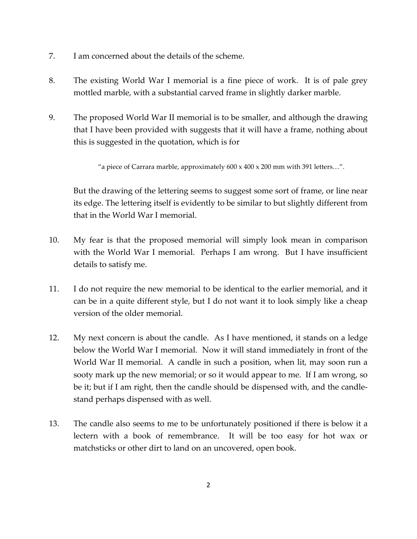- 7. I am concerned about the details of the scheme.
- 8. The existing World War I memorial is a fine piece of work. It is of pale grey mottled marble, with a substantial carved frame in slightly darker marble.
- 9. The proposed World War II memorial is to be smaller, and although the drawing that I have been provided with suggests that it will have a frame, nothing about this is suggested in the quotation, which is for

"a piece of Carrara marble, approximately 600 x 400 x 200 mm with 391 letters…".

But the drawing of the lettering seems to suggest some sort of frame, or line near its edge. The lettering itself is evidently to be similar to but slightly different from that in the World War I memorial.

- 10. My fear is that the proposed memorial will simply look mean in comparison with the World War I memorial. Perhaps I am wrong. But I have insufficient details to satisfy me.
- 11. I do not require the new memorial to be identical to the earlier memorial, and it can be in a quite different style, but I do not want it to look simply like a cheap version of the older memorial.
- 12. My next concern is about the candle. As I have mentioned, it stands on a ledge below the World War I memorial. Now it will stand immediately in front of the World War II memorial. A candle in such a position, when lit, may soon run a sooty mark up the new memorial; or so it would appear to me. If I am wrong, so be it; but if I am right, then the candle should be dispensed with, and the candlestand perhaps dispensed with as well.
- 13. The candle also seems to me to be unfortunately positioned if there is below it a lectern with a book of remembrance. It will be too easy for hot wax or matchsticks or other dirt to land on an uncovered, open book.